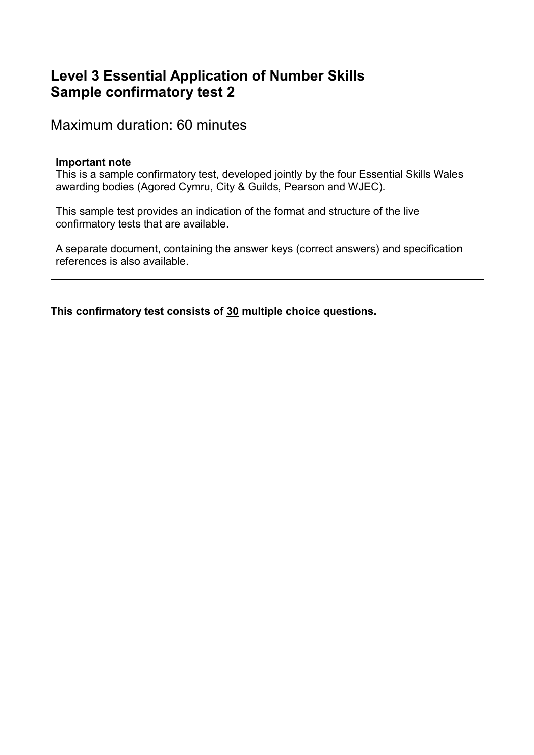## **Level 3 Essential Application of Number Skills Sample confirmatory test 2**

Maximum duration: 60 minutes

#### **Important note**

This is a sample confirmatory test, developed jointly by the four Essential Skills Wales awarding bodies (Agored Cymru, City & Guilds, Pearson and WJEC).

This sample test provides an indication of the format and structure of the live confirmatory tests that are available.

A separate document, containing the answer keys (correct answers) and specification references is also available.

**This confirmatory test consists of 30 multiple choice questions.**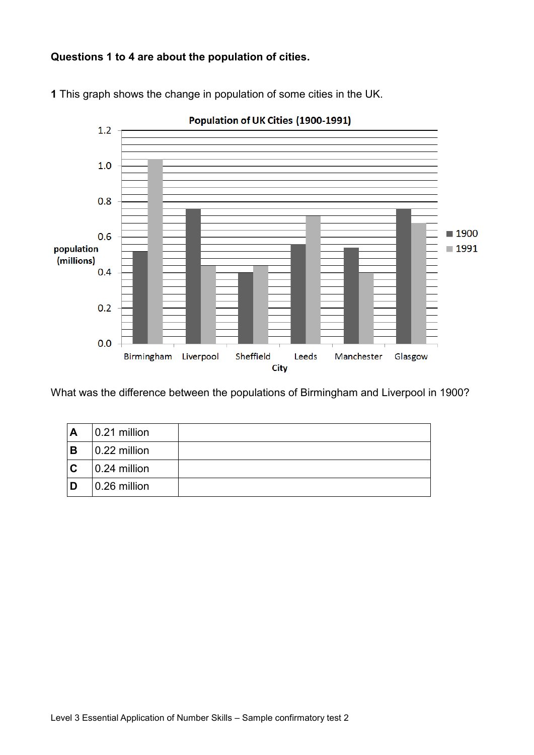**Questions 1 to 4 are about the population of cities.**



**1** This graph shows the change in population of some cities in the UK.

What was the difference between the populations of Birmingham and Liverpool in 1900?

| $\mathsf{A}$ | 0.21 million    |
|--------------|-----------------|
| B            | $0.22$ million  |
| $\mathbf{C}$ | $ 0.24$ million |
| D            | 0.26 million    |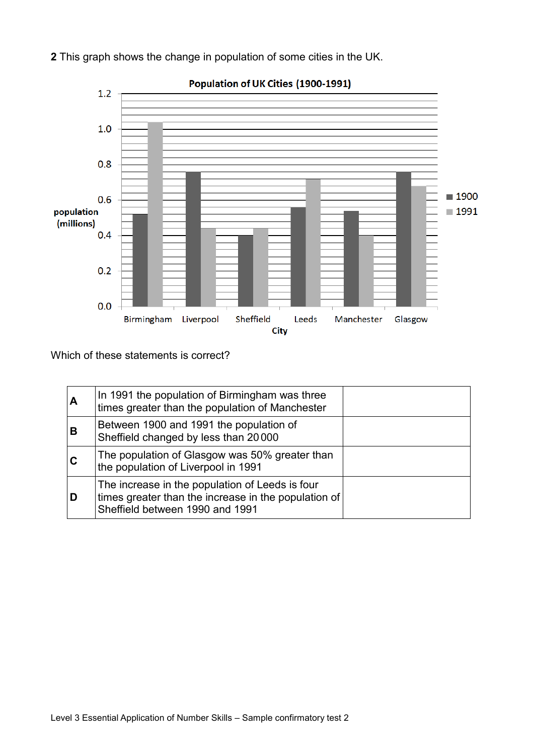**2** This graph shows the change in population of some cities in the UK.



Population of UK Cities (1900-1991)

Which of these statements is correct?

| A | In 1991 the population of Birmingham was three<br>times greater than the population of Manchester                                          |
|---|--------------------------------------------------------------------------------------------------------------------------------------------|
| В | Between 1900 and 1991 the population of<br>Sheffield changed by less than 20000                                                            |
|   | The population of Glasgow was 50% greater than<br>the population of Liverpool in 1991                                                      |
|   | The increase in the population of Leeds is four<br>times greater than the increase in the population of<br>Sheffield between 1990 and 1991 |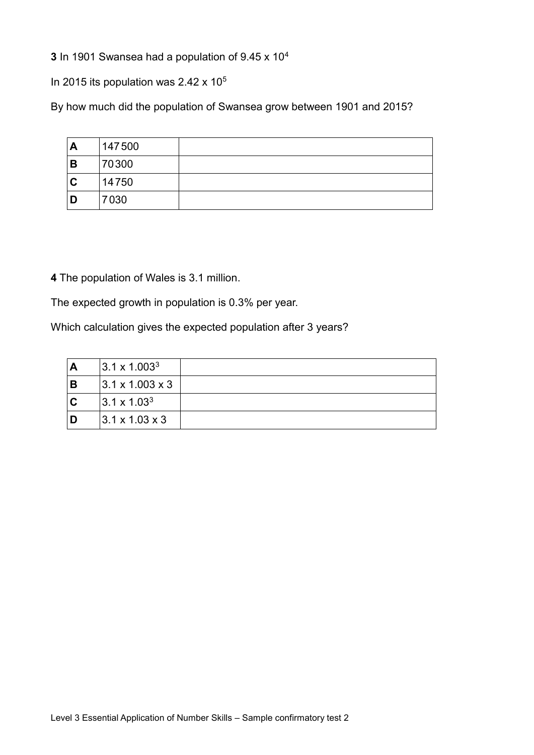**3** In 1901 Swansea had a population of 9.45 x 10<sup>4</sup>

In 2015 its population was  $2.42 \times 10^5$ 

By how much did the population of Swansea grow between 1901 and 2015?

| A | 147500 |
|---|--------|
| B | 70300  |
| C | 14750  |
| D | 7030   |

**4** The population of Wales is 3.1 million.

The expected growth in population is 0.3% per year.

Which calculation gives the expected population after 3 years?

|     | $3.1 \times 1.003^3$          |  |
|-----|-------------------------------|--|
| l B | $ 3.1 \times 1.003 \times 3 $ |  |
| C   | $3.1 \times 1.03^3$           |  |
|     | $3.1 \times 1.03 \times 3$    |  |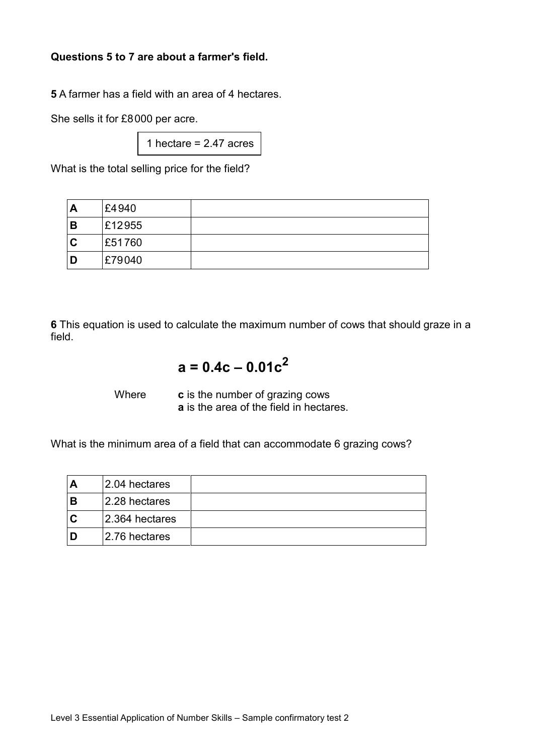#### **Questions 5 to 7 are about a farmer's field.**

**5** A farmer has a field with an area of 4 hectares.

She sells it for £8000 per acre.

1 hectare = 2.47 acres

What is the total selling price for the field?

| A | £4940  |  |
|---|--------|--|
| В | £12955 |  |
| C | £51760 |  |
|   | £79040 |  |

**6** This equation is used to calculate the maximum number of cows that should graze in a field.

# **a = 0.4c – 0.01c<sup>2</sup>**

Where **c** is the number of grazing cows **a** is the area of the field in hectares.

What is the minimum area of a field that can accommodate 6 grazing cows?

| A  | 2.04 hectares  |  |
|----|----------------|--|
| B  | 2.28 hectares  |  |
| ∣C | 2.364 hectares |  |
| D  | 2.76 hectares  |  |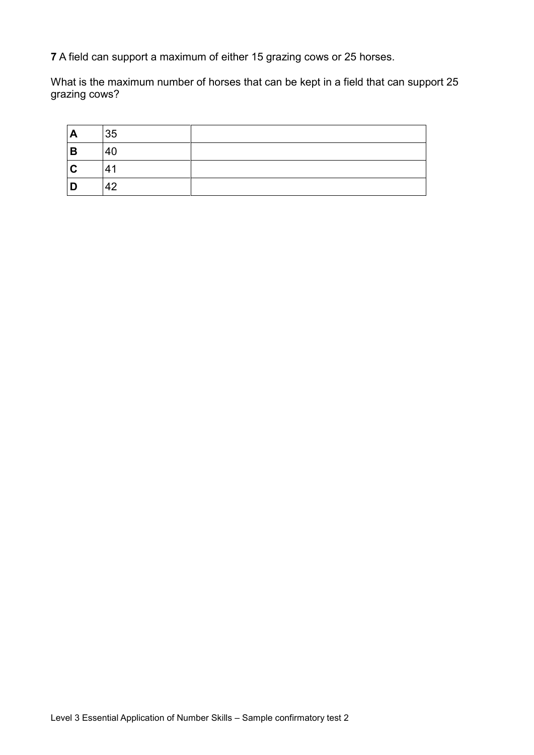**7** A field can support a maximum of either 15 grazing cows or 25 horses.

What is the maximum number of horses that can be kept in a field that can support 25 grazing cows?

| $\overline{\mathbf{A}}$ | 35 |  |
|-------------------------|----|--|
| B                       | 40 |  |
| $\mathbf c$             | 41 |  |
| D                       | 42 |  |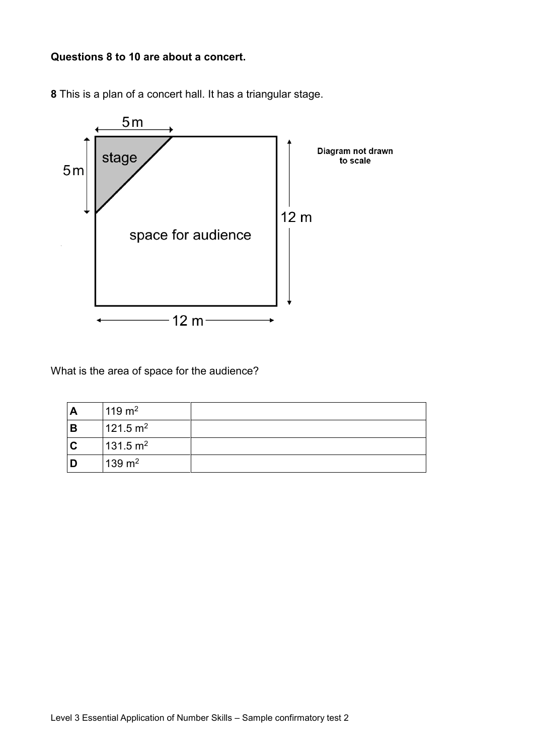#### **Questions 8 to 10 are about a concert.**

**8** This is a plan of a concert hall. It has a triangular stage.



What is the area of space for the audience?

|          | 119 $m2$          |  |
|----------|-------------------|--|
| В        | 121.5 $m2$        |  |
| <b>C</b> | 131.5 $m2$        |  |
|          | $139 \text{ m}^2$ |  |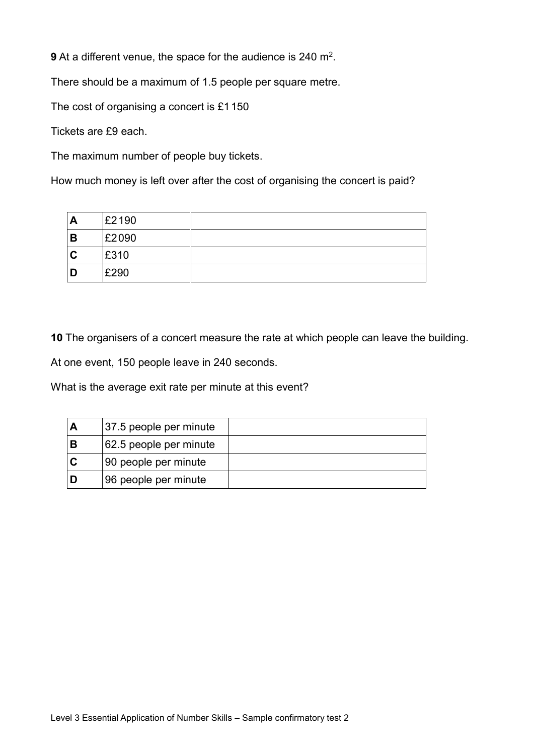**9** At a different venue, the space for the audience is 240 m<sup>2</sup>.

There should be a maximum of 1.5 people per square metre.

The cost of organising a concert is £1150

Tickets are £9 each.

The maximum number of people buy tickets.

How much money is left over after the cost of organising the concert is paid?

| A | £2190 |  |
|---|-------|--|
| В | £2090 |  |
| C | £310  |  |
|   | £290  |  |

**10** The organisers of a concert measure the rate at which people can leave the building.

At one event, 150 people leave in 240 seconds.

What is the average exit rate per minute at this event?

|     | 37.5 people per minute |  |
|-----|------------------------|--|
| в   | 62.5 people per minute |  |
| ∣C. | 90 people per minute   |  |
|     | 96 people per minute   |  |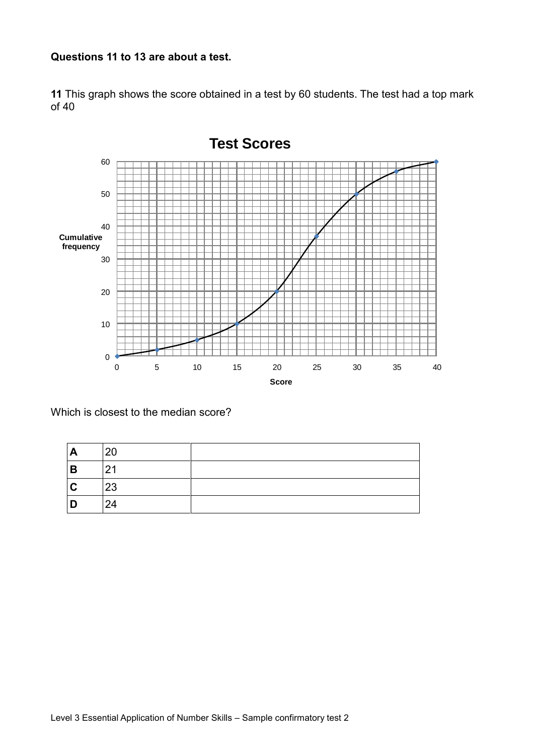#### **Questions 11 to 13 are about a test.**

**11** This graph shows the score obtained in a test by 60 students. The test had a top mark of 40



Which is closest to the median score?

| A                       | 20 |  |
|-------------------------|----|--|
| B                       | 21 |  |
| $\overline{\mathbf{c}}$ | 23 |  |
| D                       | 24 |  |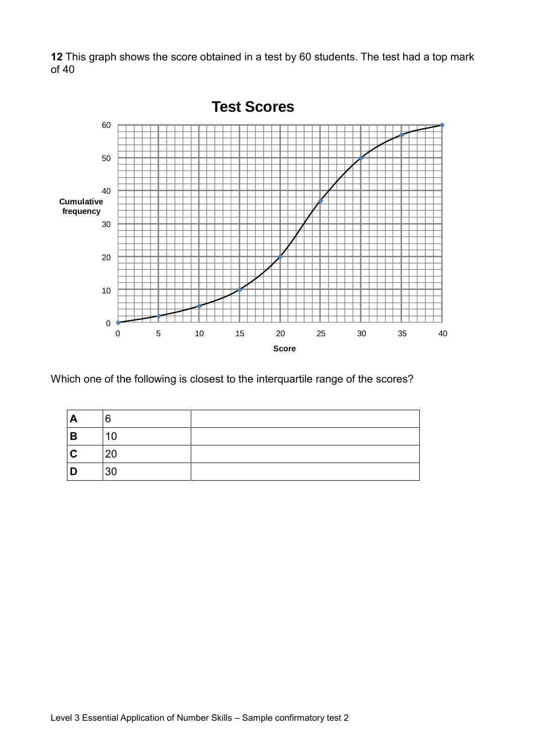**12** This graph shows the score obtained in a test by 60 students. The test had a top mark of 40



Which one of the following is closest to the interquartile range of the scores?

| A           | 6  |  |
|-------------|----|--|
| B           | 10 |  |
| $\mathbf c$ | 20 |  |
| D           | 30 |  |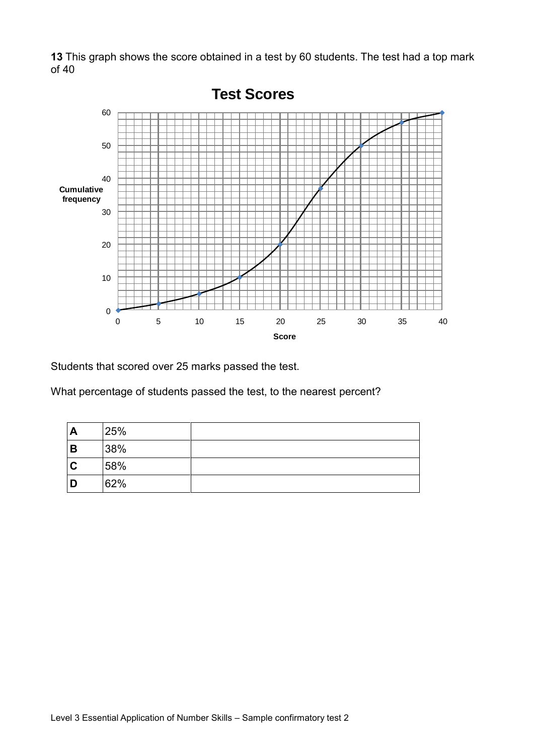**13** This graph shows the score obtained in a test by 60 students. The test had a top mark of 40



Students that scored over 25 marks passed the test.

What percentage of students passed the test, to the nearest percent?

| A           | 25% |  |
|-------------|-----|--|
| B           | 38% |  |
| $\mathbf c$ | 58% |  |
| D           | 62% |  |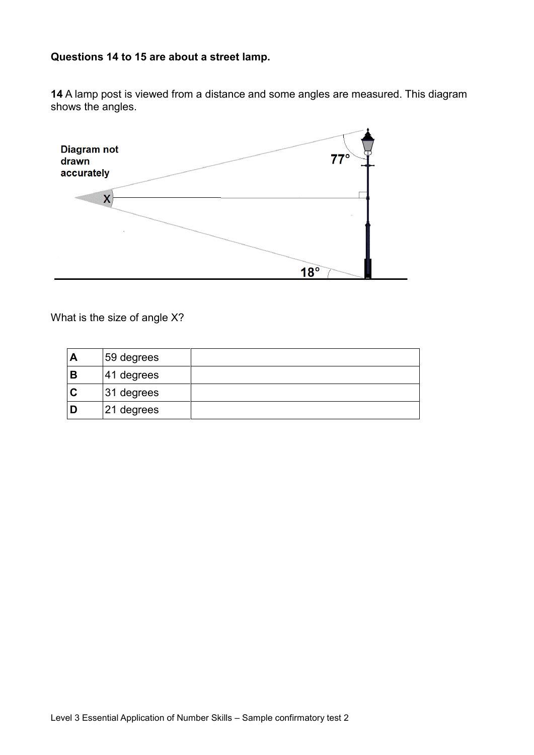#### **Questions 14 to 15 are about a street lamp.**

**14** A lamp post is viewed from a distance and some angles are measured. This diagram shows the angles.

| Diagram not<br>drawn<br>accurately | $77^\circ$ |
|------------------------------------|------------|
| X                                  |            |
|                                    | $18^\circ$ |

What is the size of angle X?

|   | 59 degrees    |  |
|---|---------------|--|
| В | $141$ degrees |  |
| C | $ 31$ degrees |  |
|   | 21 degrees    |  |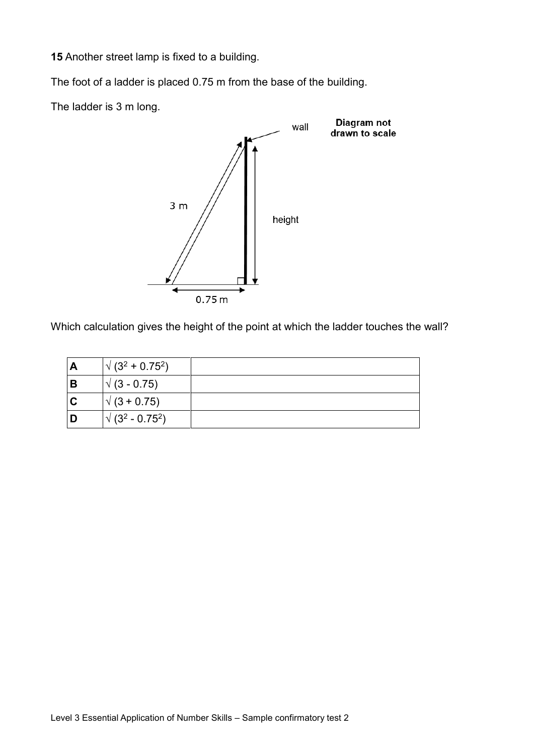**15** Another street lamp is fixed to a building.

The foot of a ladder is placed 0.75 m from the base of the building.

The ladder is 3 m long.



Which calculation gives the height of the point at which the ladder touches the wall?

|                | $\sqrt{(3^2+0.75^2)}$   |  |
|----------------|-------------------------|--|
| B              | $\sqrt{(3 - 0.75)}$     |  |
| $\overline{c}$ | $\sqrt{(3 + 0.75)}$     |  |
|                | $\sqrt{(3^2 - 0.75^2)}$ |  |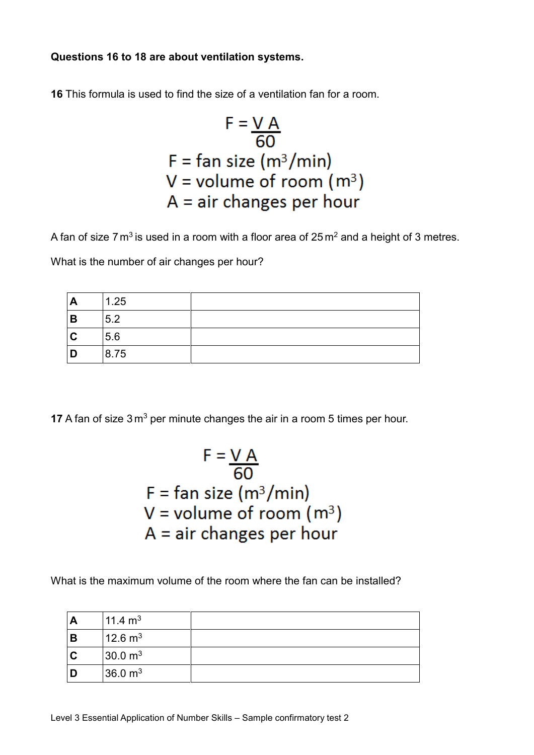#### **Questions 16 to 18 are about ventilation systems.**

**16** This formula is used to find the size of a ventilation fan for a room.

$$
F = \frac{V \text{ A}}{60}
$$
  
F = fan size (m<sup>3</sup>/min)  
V = volume of room (m<sup>3</sup>)  
A = air changes per hour

A fan of size  $7 \text{ m}^3$  is used in a room with a floor area of  $25 \text{ m}^2$  and a height of 3 metres.

What is the number of air changes per hour?

| $\mathbf{A}$            | 1.25 |  |
|-------------------------|------|--|
| B                       | 5.2  |  |
| $\overline{\mathbf{c}}$ | 5.6  |  |
| D                       | 8.75 |  |

**17** A fan of size 3 m<sup>3</sup> per minute changes the air in a room 5 times per hour.

$$
F = \frac{V \text{ A}}{60}
$$
  
F = fan size (m<sup>3</sup>/min)  
V = volume of room (m<sup>3</sup>)  
A = air changes per hour

What is the maximum volume of the room where the fan can be installed?

|                | $11.4 \text{ m}^3$  |  |
|----------------|---------------------|--|
| B              | $12.6 \text{ m}^3$  |  |
| $\overline{c}$ | 30.0 m <sup>3</sup> |  |
|                | 36.0 m <sup>3</sup> |  |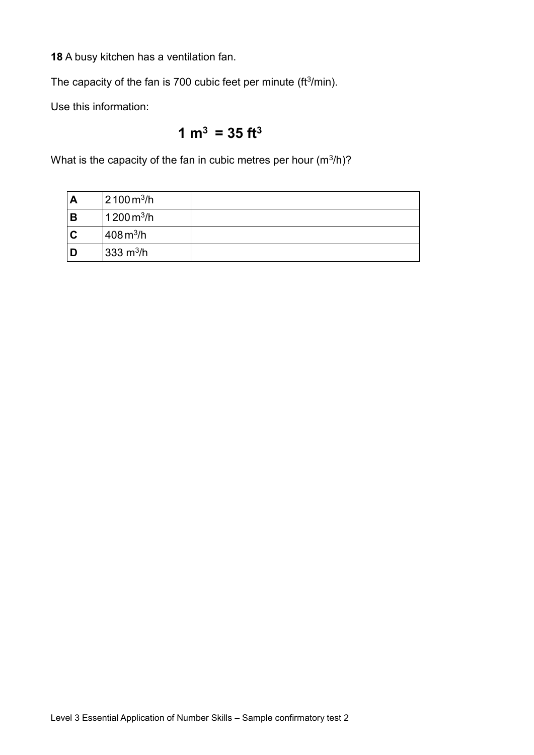**18** A busy kitchen has a ventilation fan.

The capacity of the fan is 700 cubic feet per minute ( $ft<sup>3</sup>/min$ ).

Use this information:

## **1 m<sup>3</sup> = 35 ft<sup>3</sup>**

What is the capacity of the fan in cubic metres per hour  $(m^3/h)$ ?

| A | $2100 \,\mathrm{m}^3/\mathrm{h}$ |  |
|---|----------------------------------|--|
| B | $1200 \,\mathrm{m}^3$ /h         |  |
| C | $408 \,\mathrm{m}^3/\mathrm{h}$  |  |
|   | $333 \text{ m}^3/\text{h}$       |  |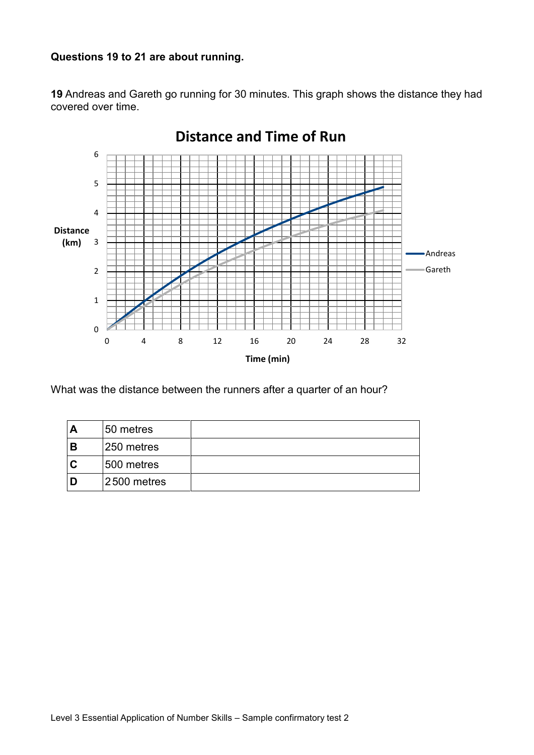#### **Questions 19 to 21 are about running.**

**19** Andreas and Gareth go running for 30 minutes. This graph shows the distance they had covered over time.



What was the distance between the runners after a quarter of an hour?

| A | 50 metres   |  |
|---|-------------|--|
| В | 250 metres  |  |
| C | 500 metres  |  |
|   | 2500 metres |  |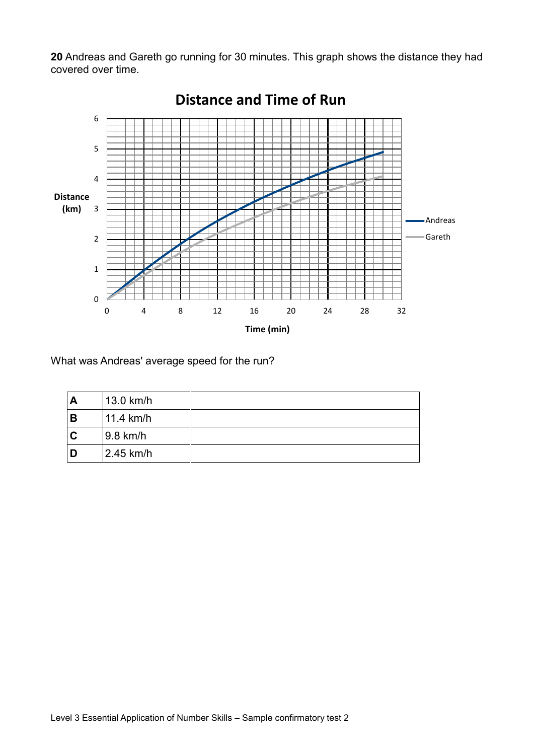**20** Andreas and Gareth go running for 30 minutes. This graph shows the distance they had covered over time.



**Distance and Time of Run**

What was Andreas' average speed for the run?

| A | 13.0 km/h            |  |
|---|----------------------|--|
| В | 11.4 km/h            |  |
| C | $ 9.8 \text{ km/h} $ |  |
| D | 2.45 km/h            |  |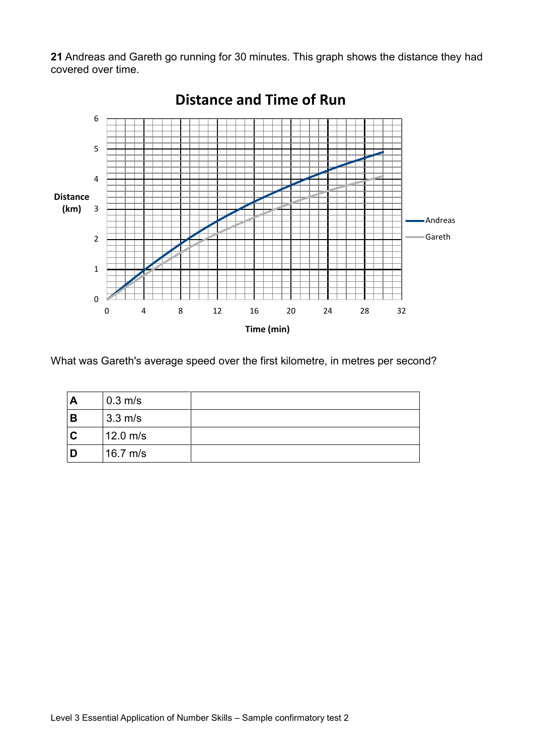**21** Andreas and Gareth go running for 30 minutes. This graph shows the distance they had covered over time.



**Distance and Time of Run**

What was Gareth's average speed over the first kilometre, in metres per second?

| A | $0.3 \text{ m/s}$ |  |
|---|-------------------|--|
| В | $3.3 \text{ m/s}$ |  |
| C | $12.0$ m/s        |  |
|   | 16.7 $m/s$        |  |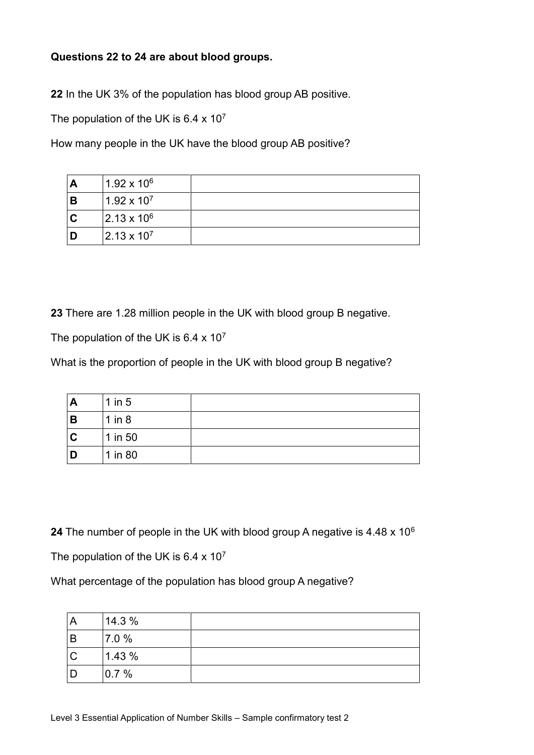#### **Questions 22 to 24 are about blood groups.**

**22** In the UK 3% of the population has blood group AB positive.

The population of the UK is  $6.4 \times 10^7$ 

How many people in the UK have the blood group AB positive?

|   | $1.92 \times 10^6$     |  |
|---|------------------------|--|
| В | $1.92 \times 10^{7}$   |  |
| C | $2.13 \times 10^6$     |  |
|   | $ 2.13 \times 10^{7} $ |  |

**23** There are 1.28 million people in the UK with blood group B negative.

The population of the UK is  $6.4 \times 10^7$ 

What is the proportion of people in the UK with blood group B negative?

| Α | $1$ in $5$ |  |
|---|------------|--|
| B | $1$ in $8$ |  |
| C | 1 in 50    |  |
| D | 1 in 80    |  |

**24** The number of people in the UK with blood group A negative is 4.48 x 10<sup>6</sup>

The population of the UK is 6.4 x 107

What percentage of the population has blood group A negative?

|                | 14.3 % |  |
|----------------|--------|--|
| B              | 7.0 %  |  |
| $\overline{C}$ | 1.43 % |  |
|                | 0.7%   |  |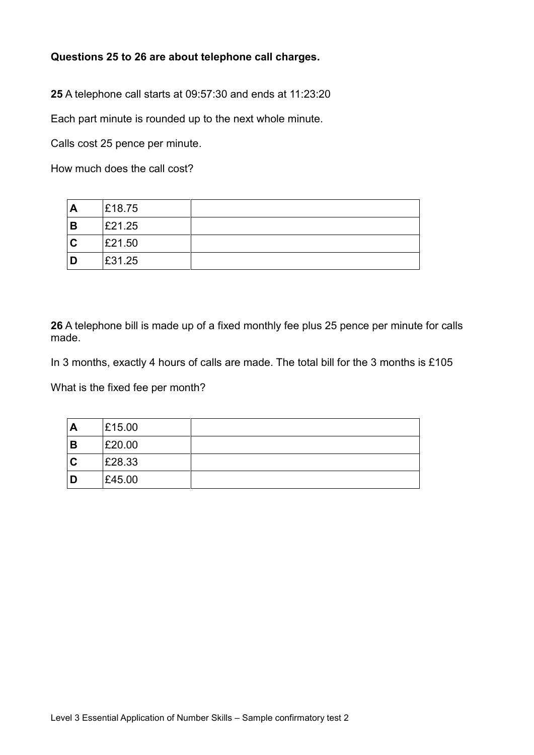#### **Questions 25 to 26 are about telephone call charges.**

**25** A telephone call starts at 09:57:30 and ends at 11:23:20

Each part minute is rounded up to the next whole minute.

Calls cost 25 pence per minute.

How much does the call cost?

| A<br>┍ | £18.75 |  |
|--------|--------|--|
| B      | £21.25 |  |
| C      | £21.50 |  |
|        | £31.25 |  |

**26** A telephone bill is made up of a fixed monthly fee plus 25 pence per minute for calls made.

In 3 months, exactly 4 hours of calls are made. The total bill for the 3 months is £105

What is the fixed fee per month?

| A            | £15.00 |  |
|--------------|--------|--|
| В            | £20.00 |  |
| $\mathbf{C}$ | £28.33 |  |
| D            | £45.00 |  |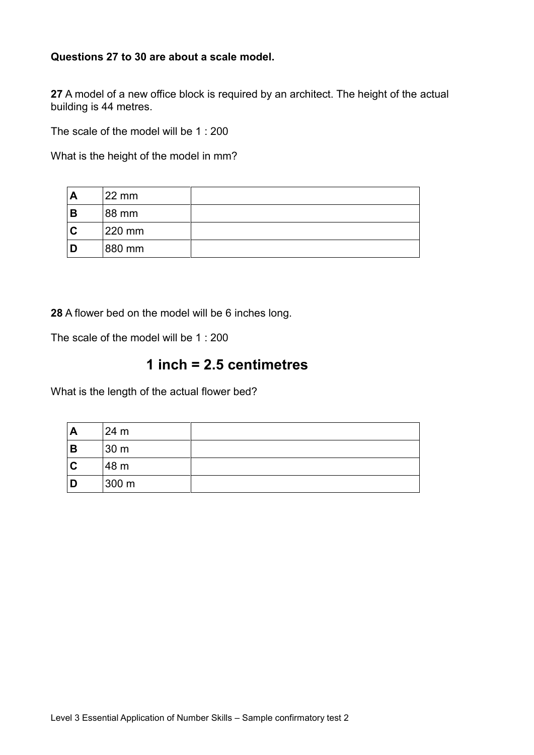#### **Questions 27 to 30 are about a scale model.**

**27** A model of a new office block is required by an architect. The height of the actual building is 44 metres.

The scale of the model will be 1 : 200

What is the height of the model in mm?

|   | 22 mm  |  |
|---|--------|--|
| В | 88 mm  |  |
| C | 220 mm |  |
|   | 880 mm |  |

**28** A flower bed on the model will be 6 inches long.

The scale of the model will be 1 : 200

### **1 inch = 2.5 centimetres**

What is the length of the actual flower bed?

| Α           | 24 m  |  |
|-------------|-------|--|
| B           | 30 m  |  |
| $\mathbf C$ | 48 m  |  |
| D           | 300 m |  |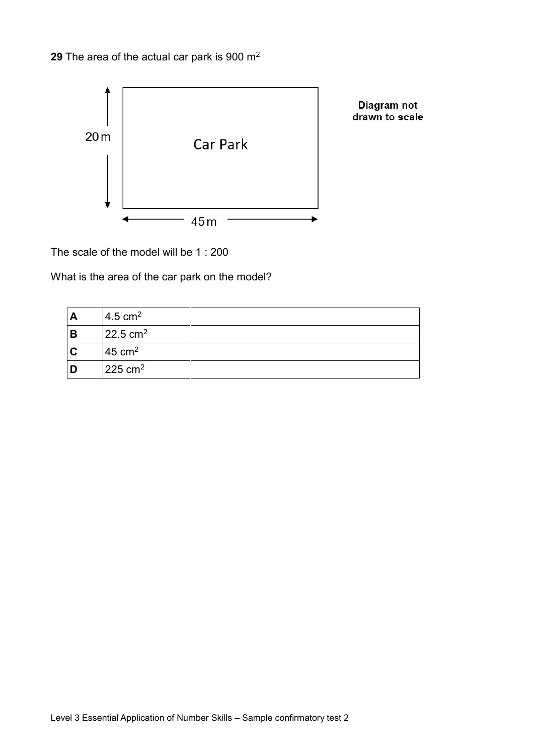**29** The area of the actual car park is 900 m<sup>2</sup>



Diagram not drawn to scale

The scale of the model will be 1 : 200

What is the area of the car park on the model?

|   | $4.5 \text{ cm}^2$    |  |
|---|-----------------------|--|
| В | $22.5 \text{ cm}^2$   |  |
|   | $45 \text{ cm}^2$     |  |
|   | $225$ cm <sup>2</sup> |  |